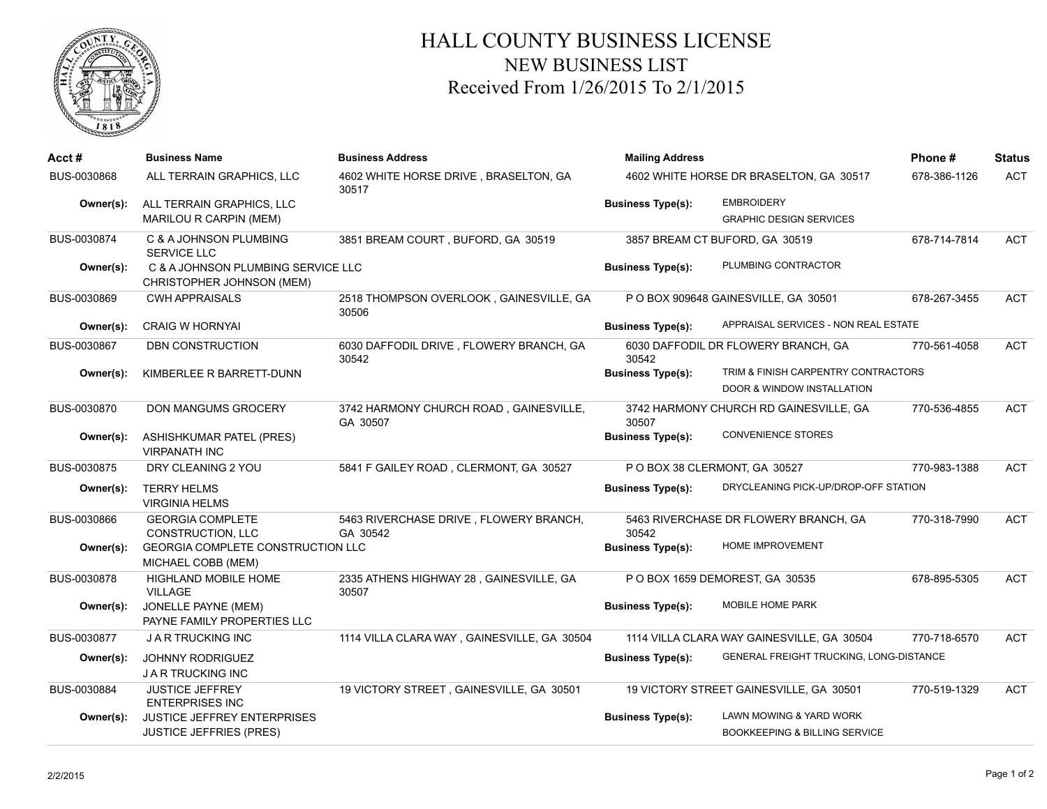

## HALL COUNTY BUSINESS LICENSE NEW BUSINESS LIST Received From 1/26/2015 To 2/1/2015

| Acct#       | <b>Business Name</b>                                            | <b>Business Address</b>                            | <b>Mailing Address</b><br>4602 WHITE HORSE DR BRASELTON, GA 30517 |                                                                   | Phone#       | <b>Status</b> |
|-------------|-----------------------------------------------------------------|----------------------------------------------------|-------------------------------------------------------------------|-------------------------------------------------------------------|--------------|---------------|
| BUS-0030868 | ALL TERRAIN GRAPHICS, LLC                                       | 4602 WHITE HORSE DRIVE, BRASELTON, GA<br>30517     |                                                                   |                                                                   | 678-386-1126 | <b>ACT</b>    |
| Owner(s):   | ALL TERRAIN GRAPHICS, LLC                                       |                                                    | <b>Business Type(s):</b>                                          | <b>EMBROIDERY</b>                                                 |              |               |
|             | MARILOU R CARPIN (MEM)                                          |                                                    |                                                                   | <b>GRAPHIC DESIGN SERVICES</b>                                    |              |               |
| BUS-0030874 | C & A JOHNSON PLUMBING<br><b>SERVICE LLC</b>                    | 3851 BREAM COURT, BUFORD, GA 30519                 |                                                                   | 3857 BREAM CT BUFORD, GA 30519                                    | 678-714-7814 | <b>ACT</b>    |
| Owner(s):   | C & A JOHNSON PLUMBING SERVICE LLC<br>CHRISTOPHER JOHNSON (MEM) |                                                    | <b>Business Type(s):</b>                                          | PLUMBING CONTRACTOR                                               |              |               |
| BUS-0030869 | <b>CWH APPRAISALS</b>                                           | 2518 THOMPSON OVERLOOK, GAINESVILLE, GA<br>30506   |                                                                   | P O BOX 909648 GAINESVILLE, GA 30501                              | 678-267-3455 | <b>ACT</b>    |
| Owner(s):   | <b>CRAIG W HORNYAI</b>                                          |                                                    | <b>Business Type(s):</b>                                          | APPRAISAL SERVICES - NON REAL ESTATE                              |              |               |
| BUS-0030867 | DBN CONSTRUCTION                                                | 6030 DAFFODIL DRIVE, FLOWERY BRANCH, GA<br>30542   | 30542                                                             | 6030 DAFFODIL DR FLOWERY BRANCH, GA                               | 770-561-4058 | <b>ACT</b>    |
| Owner(s):   | KIMBERLEE R BARRETT-DUNN                                        |                                                    | <b>Business Type(s):</b>                                          | TRIM & FINISH CARPENTRY CONTRACTORS<br>DOOR & WINDOW INSTALLATION |              |               |
| BUS-0030870 | DON MANGUMS GROCERY                                             | 3742 HARMONY CHURCH ROAD, GAINESVILLE,<br>GA 30507 | 30507                                                             | 3742 HARMONY CHURCH RD GAINESVILLE, GA                            | 770-536-4855 | <b>ACT</b>    |
| Owner(s):   | <b>ASHISHKUMAR PATEL (PRES)</b><br><b>VIRPANATH INC</b>         |                                                    | <b>Business Type(s):</b>                                          | <b>CONVENIENCE STORES</b>                                         |              |               |
| BUS-0030875 | DRY CLEANING 2 YOU                                              | 5841 F GAILEY ROAD, CLERMONT, GA 30527             |                                                                   | P O BOX 38 CLERMONT, GA 30527                                     | 770-983-1388 | <b>ACT</b>    |
| Owner(s):   | <b>TERRY HELMS</b><br><b>VIRGINIA HELMS</b>                     |                                                    | <b>Business Type(s):</b>                                          | DRYCLEANING PICK-UP/DROP-OFF STATION                              |              |               |
| BUS-0030866 | <b>GEORGIA COMPLETE</b><br><b>CONSTRUCTION, LLC</b>             | 5463 RIVERCHASE DRIVE, FLOWERY BRANCH,<br>GA 30542 | 30542                                                             | 5463 RIVERCHASE DR FLOWERY BRANCH, GA                             | 770-318-7990 | <b>ACT</b>    |
| Owner(s):   | <b>GEORGIA COMPLETE CONSTRUCTION LLC</b><br>MICHAEL COBB (MEM)  |                                                    | <b>Business Type(s):</b>                                          | HOME IMPROVEMENT                                                  |              |               |
| BUS-0030878 | <b>HIGHLAND MOBILE HOME</b><br><b>VILLAGE</b>                   | 2335 ATHENS HIGHWAY 28, GAINESVILLE, GA<br>30507   |                                                                   | P O BOX 1659 DEMOREST, GA 30535                                   | 678-895-5305 | <b>ACT</b>    |
| Owner(s):   | JONELLE PAYNE (MEM)<br>PAYNE FAMILY PROPERTIES LLC              |                                                    | <b>Business Type(s):</b>                                          | MOBILE HOME PARK                                                  |              |               |
| BUS-0030877 | <b>JARTRUCKING INC</b>                                          | 1114 VILLA CLARA WAY, GAINESVILLE, GA 30504        |                                                                   | 1114 VILLA CLARA WAY GAINESVILLE, GA 30504                        | 770-718-6570 | <b>ACT</b>    |
| Owner(s):   | <b>JOHNNY RODRIGUEZ</b><br><b>JAR TRUCKING INC</b>              |                                                    | <b>Business Type(s):</b>                                          | GENERAL FREIGHT TRUCKING, LONG-DISTANCE                           |              |               |
| BUS-0030884 | <b>JUSTICE JEFFREY</b><br><b>ENTERPRISES INC</b>                | 19 VICTORY STREET, GAINESVILLE, GA 30501           |                                                                   | 19 VICTORY STREET GAINESVILLE, GA 30501                           | 770-519-1329 | <b>ACT</b>    |
| Owner(s):   | <b>JUSTICE JEFFREY ENTERPRISES</b>                              |                                                    | <b>Business Type(s):</b>                                          | LAWN MOWING & YARD WORK                                           |              |               |
|             | <b>JUSTICE JEFFRIES (PRES)</b>                                  |                                                    |                                                                   | <b>BOOKKEEPING &amp; BILLING SERVICE</b>                          |              |               |